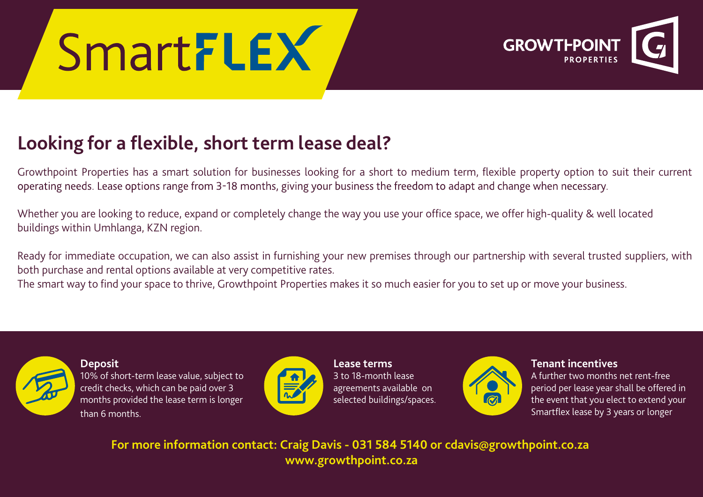# SmartFLEX



### **Looking for a flexible, short term lease deal?**

Growthpoint Properties has a smart solution for businesses looking for a short to medium term, flexible property option to suit their current operating needs. Lease options range from 3-18 months, giving your business the freedom to adapt and change when necessary.

Whether you are looking to reduce, expand or completely change the way you use your office space, we offer high-quality & well located buildings within Umhlanga, KZN region.

Ready for immediate occupation, we can also assist in furnishing your new premises through our partnership with several trusted suppliers, with both purchase and rental options available at very competitive rates.

The smart way to find your space to thrive, Growthpoint Properties makes it so much easier for you to set up or move your business.



**Deposit**

10% of short-term lease value, subject to credit checks, which can be paid over 3 months provided the lease term is longer than 6 months.



**Lease terms** 3 to 18-month lease agreements available on selected buildings/spaces.



**Tenant incentives**

A further two months net rent-free period per lease year shall be offered in the event that you elect to extend your Smartflex lease by 3 years or longer

**For more information contact: Craig Davis - 031 584 5140 or cdavis@growthpoint.co.za www.growthpoint.co.za**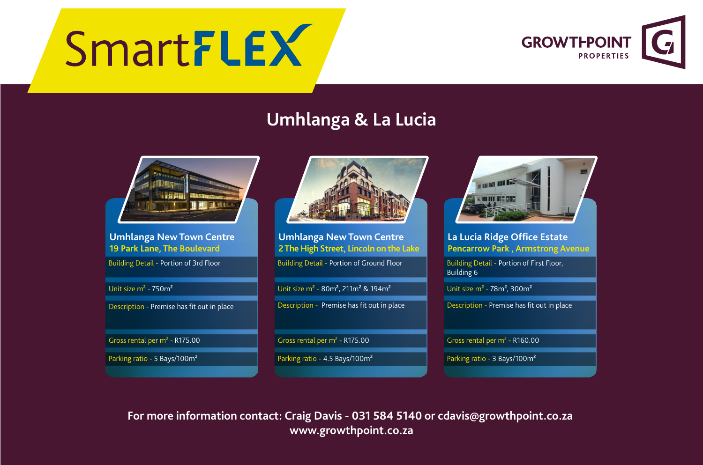## SmartFLEX



### **Umhlanga & La Lucia**



#### **Umhlanga New Town Centre 19 Park Lane, The Boulevard**

**Building Detail - Portion of 3rd Floor** 

Unit size m² - 750m²

Description - Premise has fit out in place

Gross rental per  $m^2$  - R175.00

Parking ratio - 5 Bays/100m²



**Umhlanga New Town Centre 2 The High Street, Lincoln on the Lake**

Building Detail - Portion of Ground Floor

Unit size m² - 80m², 211m² & 194m²

Description - Premise has fit out in place

Gross rental per  $m^2$  - R175.00

Parking ratio - 4.5 Bays/100m²



#### **La Lucia Ridge Office Estate Pencarrow Park , Armstrong Avenue**

Building Detail - Portion of First Floor, Building 6

Unit size  $m^2$  - 78 $m^2$ , 300 $m^2$ 

Description - Premise has fit out in place

Gross rental per  $m^2$  - R160.00

Parking ratio - 3 Bays/100m²

**For more information contact: Craig Davis - 031 584 5140 or cdavis@growthpoint.co.za www.growthpoint.co.za**